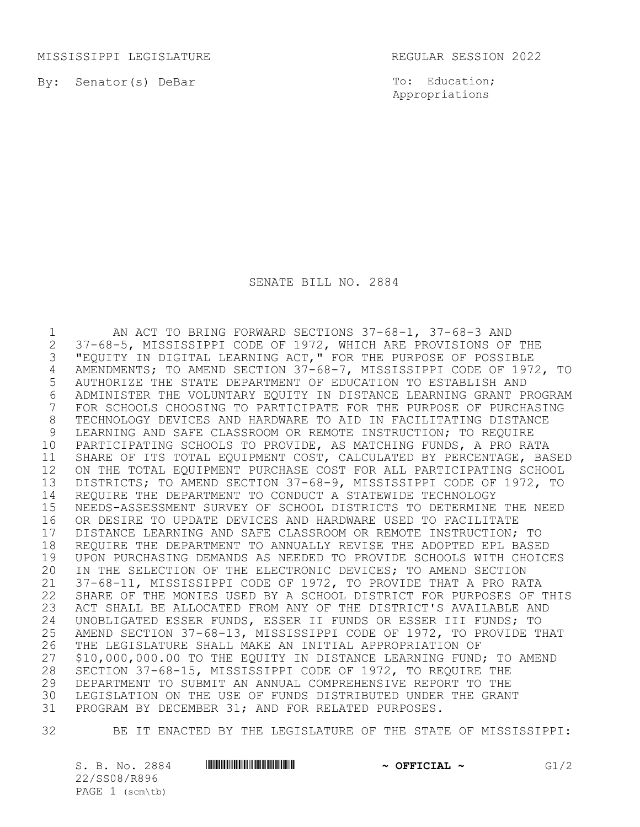MISSISSIPPI LEGISLATURE REGULAR SESSION 2022

By: Senator(s) DeBar

To: Education; Appropriations

SENATE BILL NO. 2884

1 MI ACT TO BRING FORWARD SECTIONS 37-68-1, 37-68-3 AND<br>2 37-68-5, MISSISSIPPI CODE OF 1972, WHICH ARE PROVISIONS OF 2 37-68-5, MISSISSIPPI CODE OF 1972, WHICH ARE PROVISIONS OF THE<br>3 "EQUITY IN DIGITAL LEARNING ACT," FOR THE PURPOSE OF POSSIBLE "EQUITY IN DIGITAL LEARNING ACT," FOR THE PURPOSE OF POSSIBLE 4 AMENDMENTS; TO AMEND SECTION 37-68-7, MISSISSIPPI CODE OF 1972, TO<br>5 AUTHORIZE THE STATE DEPARTMENT OF EDUCATION TO ESTABLISH AND AUTHORIZE THE STATE DEPARTMENT OF EDUCATION TO ESTABLISH AND ADMINISTER THE VOLUNTARY EQUITY IN DISTANCE LEARNING GRANT PROGRAM FOR SCHOOLS CHOOSING TO PARTICIPATE FOR THE PURPOSE OF PURCHASING TECHNOLOGY DEVICES AND HARDWARE TO AID IN FACILITATING DISTANCE LEARNING AND SAFE CLASSROOM OR REMOTE INSTRUCTION; TO REQUIRE PARTICIPATING SCHOOLS TO PROVIDE, AS MATCHING FUNDS, A PRO RATA SHARE OF ITS TOTAL EQUIPMENT COST, CALCULATED BY PERCENTAGE, BASED ON THE TOTAL EQUIPMENT PURCHASE COST FOR ALL PARTICIPATING SCHOOL DISTRICTS; TO AMEND SECTION 37-68-9, MISSISSIPPI CODE OF 1972, TO REQUIRE THE DEPARTMENT TO CONDUCT A STATEWIDE TECHNOLOGY NEEDS-ASSESSMENT SURVEY OF SCHOOL DISTRICTS TO DETERMINE THE NEED OR DESIRE TO UPDATE DEVICES AND HARDWARE USED TO FACILITATE 17 DISTANCE LEARNING AND SAFE CLASSROOM OR REMOTE INSTRUCTION; TO<br>18 REOUIRE THE DEPARTMENT TO ANNUALLY REVISE THE ADOPTED EPL BASEI 18 REQUIRE THE DEPARTMENT TO ANNUALLY REVISE THE ADOPTED EPL BASED<br>19 UPON PURCHASING DEMANDS AS NEEDED TO PROVIDE SCHOOLS WITH CHOIC UPON PURCHASING DEMANDS AS NEEDED TO PROVIDE SCHOOLS WITH CHOICES IN THE SELECTION OF THE ELECTRONIC DEVICES; TO AMEND SECTION 37-68-11, MISSISSIPPI CODE OF 1972, TO PROVIDE THAT A PRO RATA SHARE OF THE MONIES USED BY A SCHOOL DISTRICT FOR PURPOSES OF THIS ACT SHALL BE ALLOCATED FROM ANY OF THE DISTRICT'S AVAILABLE AND 24 UNOBLIGATED ESSER FUNDS, ESSER II FUNDS OR ESSER III FUNDS; TO<br>25 AMEND SECTION 37-68-13, MISSISSIPPI CODE OF 1972, TO PROVIDE T 25 AMEND SECTION 37-68-13, MISSISSIPPI CODE OF 1972, TO PROVIDE THAT<br>26 THE LEGISLATURE SHALL MAKE AN INITIAL APPROPRIATION OF THE LEGISLATURE SHALL MAKE AN INITIAL APPROPRIATION OF \$10,000,000.00 TO THE EQUITY IN DISTANCE LEARNING FUND; TO AMEND SECTION 37-68-15, MISSISSIPPI CODE OF 1972, TO REQUIRE THE DEPARTMENT TO SUBMIT AN ANNUAL COMPREHENSIVE REPORT TO THE LEGISLATION ON THE USE OF FUNDS DISTRIBUTED UNDER THE GRANT PROGRAM BY DECEMBER 31; AND FOR RELATED PURPOSES.

32 BE IT ENACTED BY THE LEGISLATURE OF THE STATE OF MISSISSIPPI:

S. B. No. 2884 \*SS08/R896\* **~ OFFICIAL ~** G1/2 22/SS08/R896 PAGE 1 (scm\tb)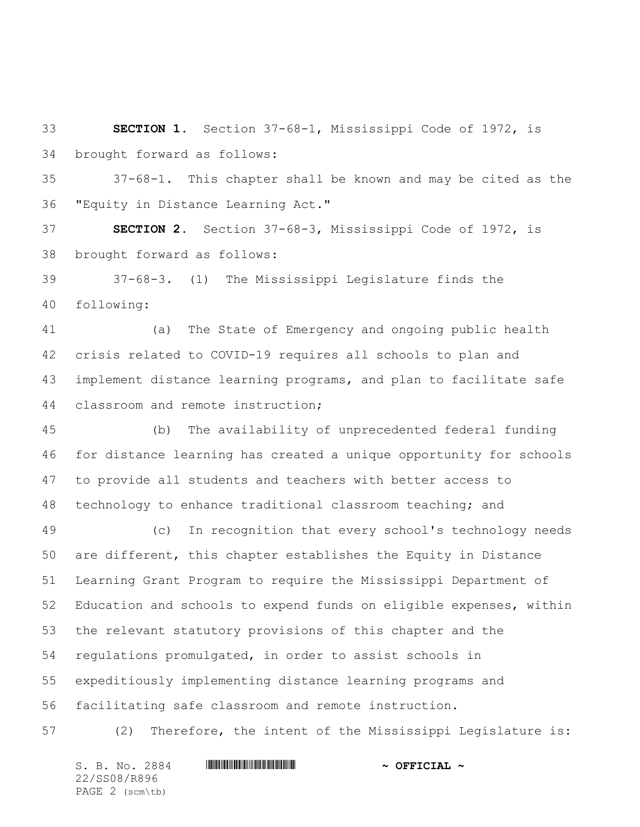**SECTION 1.** Section 37-68-1, Mississippi Code of 1972, is brought forward as follows:

 37-68-1. This chapter shall be known and may be cited as the "Equity in Distance Learning Act."

 **SECTION 2.** Section 37-68-3, Mississippi Code of 1972, is brought forward as follows:

 37-68-3. (1) The Mississippi Legislature finds the following:

 (a) The State of Emergency and ongoing public health crisis related to COVID-19 requires all schools to plan and implement distance learning programs, and plan to facilitate safe classroom and remote instruction;

 (b) The availability of unprecedented federal funding for distance learning has created a unique opportunity for schools to provide all students and teachers with better access to technology to enhance traditional classroom teaching; and

 (c) In recognition that every school's technology needs are different, this chapter establishes the Equity in Distance Learning Grant Program to require the Mississippi Department of Education and schools to expend funds on eligible expenses, within the relevant statutory provisions of this chapter and the regulations promulgated, in order to assist schools in expeditiously implementing distance learning programs and facilitating safe classroom and remote instruction.

(2) Therefore, the intent of the Mississippi Legislature is:

S. B. No. 2884 \*SS08/R896\* **~ OFFICIAL ~** 22/SS08/R896 PAGE 2 (scm\tb)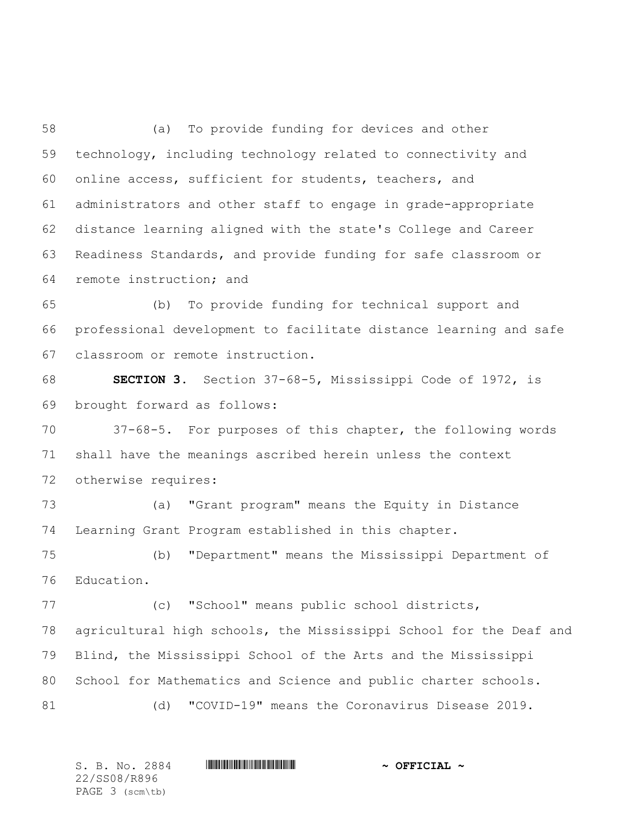(a) To provide funding for devices and other technology, including technology related to connectivity and online access, sufficient for students, teachers, and administrators and other staff to engage in grade-appropriate distance learning aligned with the state's College and Career Readiness Standards, and provide funding for safe classroom or remote instruction; and

 (b) To provide funding for technical support and professional development to facilitate distance learning and safe classroom or remote instruction.

 **SECTION 3.** Section 37-68-5, Mississippi Code of 1972, is brought forward as follows:

 37-68-5. For purposes of this chapter, the following words shall have the meanings ascribed herein unless the context otherwise requires:

 (a) "Grant program" means the Equity in Distance Learning Grant Program established in this chapter.

 (b) "Department" means the Mississippi Department of Education.

 (c) "School" means public school districts, agricultural high schools, the Mississippi School for the Deaf and Blind, the Mississippi School of the Arts and the Mississippi School for Mathematics and Science and public charter schools. (d) "COVID-19" means the Coronavirus Disease 2019.

 $S.$  B. No. 2884 **\*\*\* |SSUE ASSOCIAL #**  $\sim$  **OFFICIAL ~** 22/SS08/R896 PAGE 3 (scm\tb)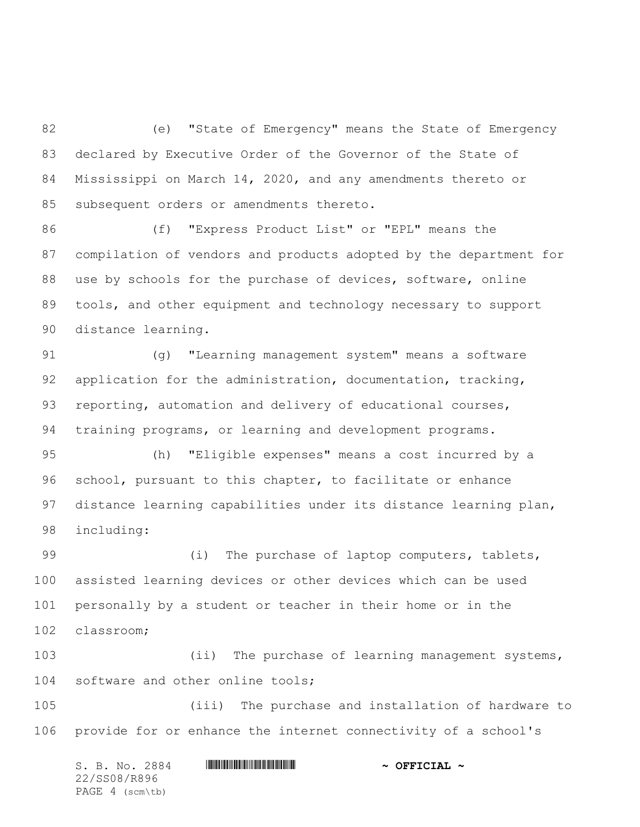(e) "State of Emergency" means the State of Emergency declared by Executive Order of the Governor of the State of Mississippi on March 14, 2020, and any amendments thereto or subsequent orders or amendments thereto.

 (f) "Express Product List" or "EPL" means the compilation of vendors and products adopted by the department for 88 use by schools for the purchase of devices, software, online tools, and other equipment and technology necessary to support distance learning.

 (g) "Learning management system" means a software 92 application for the administration, documentation, tracking, reporting, automation and delivery of educational courses, training programs, or learning and development programs.

 (h) "Eligible expenses" means a cost incurred by a school, pursuant to this chapter, to facilitate or enhance distance learning capabilities under its distance learning plan, including:

99 (i) The purchase of laptop computers, tablets, assisted learning devices or other devices which can be used personally by a student or teacher in their home or in the classroom;

 (ii) The purchase of learning management systems, 104 software and other online tools;

 (iii) The purchase and installation of hardware to provide for or enhance the internet connectivity of a school's

S. B. No. 2884 \*SS08/R896\* **~ OFFICIAL ~** 22/SS08/R896 PAGE 4 (scm\tb)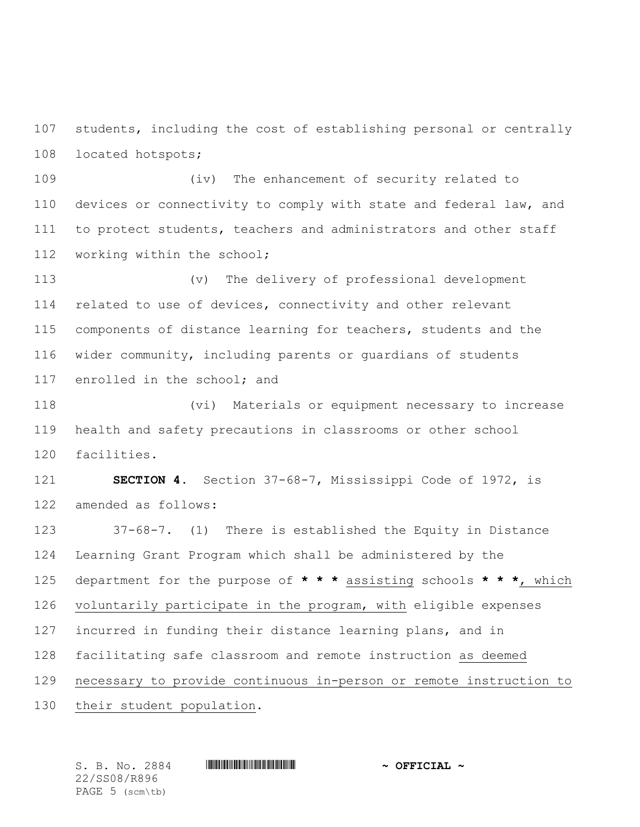students, including the cost of establishing personal or centrally located hotspots;

 (iv) The enhancement of security related to devices or connectivity to comply with state and federal law, and to protect students, teachers and administrators and other staff 112 working within the school;

 (v) The delivery of professional development related to use of devices, connectivity and other relevant components of distance learning for teachers, students and the wider community, including parents or guardians of students enrolled in the school; and

 (vi) Materials or equipment necessary to increase health and safety precautions in classrooms or other school facilities.

 **SECTION 4.** Section 37-68-7, Mississippi Code of 1972, is amended as follows:

 37-68-7. (1) There is established the Equity in Distance Learning Grant Program which shall be administered by the department for the purpose of **\* \* \*** assisting schools **\* \* \***, which voluntarily participate in the program, with eligible expenses incurred in funding their distance learning plans, and in facilitating safe classroom and remote instruction as deemed necessary to provide continuous in-person or remote instruction to their student population.

 $S.$  B. No. 2884 **\*\*\* |SSUE ASSOCIAL #**  $\sim$  **OFFICIAL ~** 22/SS08/R896 PAGE 5 (scm\tb)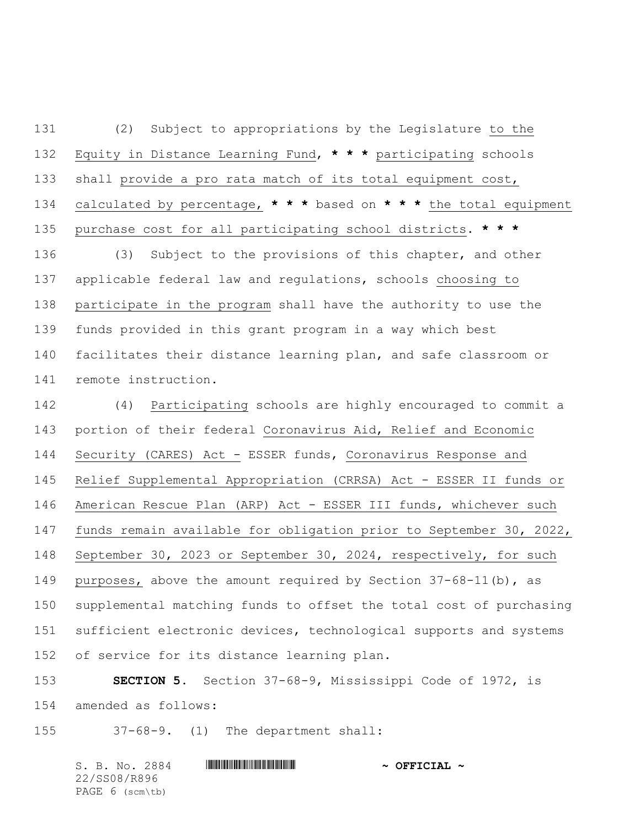(2) Subject to appropriations by the Legislature to the Equity in Distance Learning Fund, **\* \* \*** participating schools shall provide a pro rata match of its total equipment cost, calculated by percentage, **\* \* \*** based on **\* \* \*** the total equipment purchase cost for all participating school districts. **\* \* \*** (3) Subject to the provisions of this chapter, and other applicable federal law and regulations, schools choosing to participate in the program shall have the authority to use the funds provided in this grant program in a way which best facilitates their distance learning plan, and safe classroom or remote instruction.

 (4) Participating schools are highly encouraged to commit a portion of their federal Coronavirus Aid, Relief and Economic Security (CARES) Act - ESSER funds, Coronavirus Response and Relief Supplemental Appropriation (CRRSA) Act - ESSER II funds or American Rescue Plan (ARP) Act - ESSER III funds, whichever such funds remain available for obligation prior to September 30, 2022, September 30, 2023 or September 30, 2024, respectively, for such purposes, above the amount required by Section 37-68-11(b), as supplemental matching funds to offset the total cost of purchasing 151 sufficient electronic devices, technological supports and systems of service for its distance learning plan.

## **SECTION 5.** Section 37-68-9, Mississippi Code of 1972, is amended as follows:

37-68-9. (1) The department shall:

S. B. No. 2884 \*SS08/R896\* **~ OFFICIAL ~** 22/SS08/R896 PAGE 6 (scm\tb)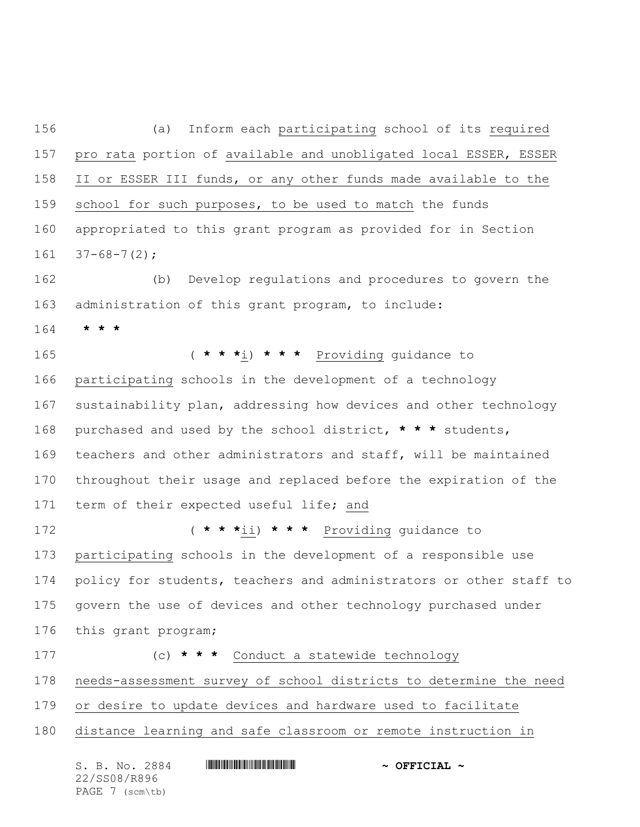S. B. No. 2884 \*SS08/R896\* **~ OFFICIAL ~** (a) Inform each participating school of its required pro rata portion of available and unobligated local ESSER, ESSER II or ESSER III funds, or any other funds made available to the school for such purposes, to be used to match the funds appropriated to this grant program as provided for in Section  $161 \quad 37-68-7(2)$ ; (b) Develop regulations and procedures to govern the administration of this grant program, to include: **\* \* \*** ( **\* \* \***i) **\* \* \*** Providing guidance to participating schools in the development of a technology sustainability plan, addressing how devices and other technology purchased and used by the school district, **\* \* \*** students, teachers and other administrators and staff, will be maintained throughout their usage and replaced before the expiration of the 171 term of their expected useful life; and ( **\* \* \***ii) **\* \* \*** Providing guidance to participating schools in the development of a responsible use policy for students, teachers and administrators or other staff to govern the use of devices and other technology purchased under this grant program; (c) **\* \* \*** Conduct a statewide technology needs-assessment survey of school districts to determine the need 179 or desire to update devices and hardware used to facilitate distance learning and safe classroom or remote instruction in

22/SS08/R896 PAGE 7 (scm\tb)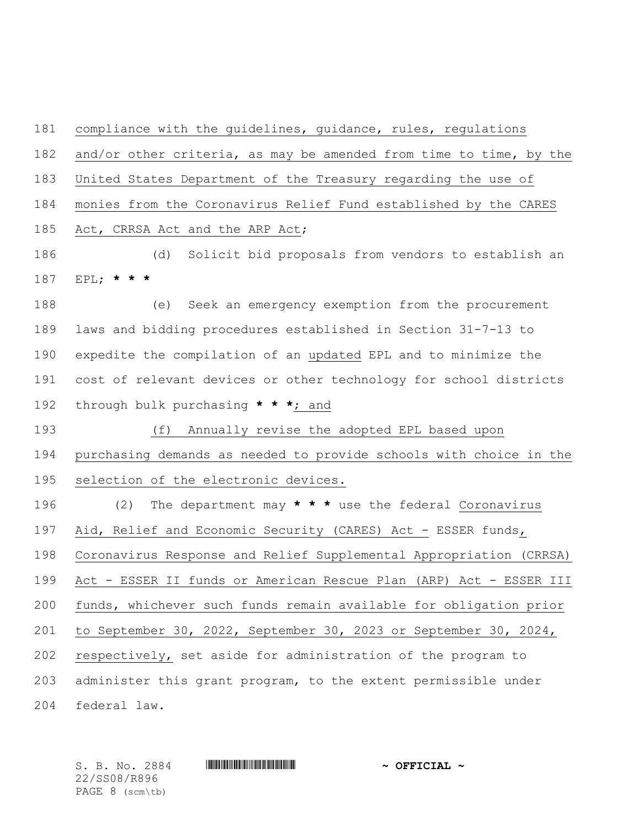compliance with the guidelines, guidance, rules, regulations and/or other criteria, as may be amended from time to time, by the United States Department of the Treasury regarding the use of monies from the Coronavirus Relief Fund established by the CARES 185 Act, CRRSA Act and the ARP Act; (d) Solicit bid proposals from vendors to establish an EPL; **\* \* \*** (e) Seek an emergency exemption from the procurement laws and bidding procedures established in Section 31-7-13 to expedite the compilation of an updated EPL and to minimize the cost of relevant devices or other technology for school districts through bulk purchasing **\* \* \***; and (f) Annually revise the adopted EPL based upon purchasing demands as needed to provide schools with choice in the selection of the electronic devices. (2) The department may **\* \* \*** use the federal Coronavirus Aid, Relief and Economic Security (CARES) Act - ESSER funds, Coronavirus Response and Relief Supplemental Appropriation (CRRSA) Act - ESSER II funds or American Rescue Plan (ARP) Act - ESSER III funds, whichever such funds remain available for obligation prior to September 30, 2022, September 30, 2023 or September 30, 2024, respectively, set aside for administration of the program to administer this grant program, to the extent permissible under federal law.

22/SS08/R896 PAGE 8 (scm\tb)

S. B. No. 2884 \*SS08/R896\* **~ OFFICIAL ~**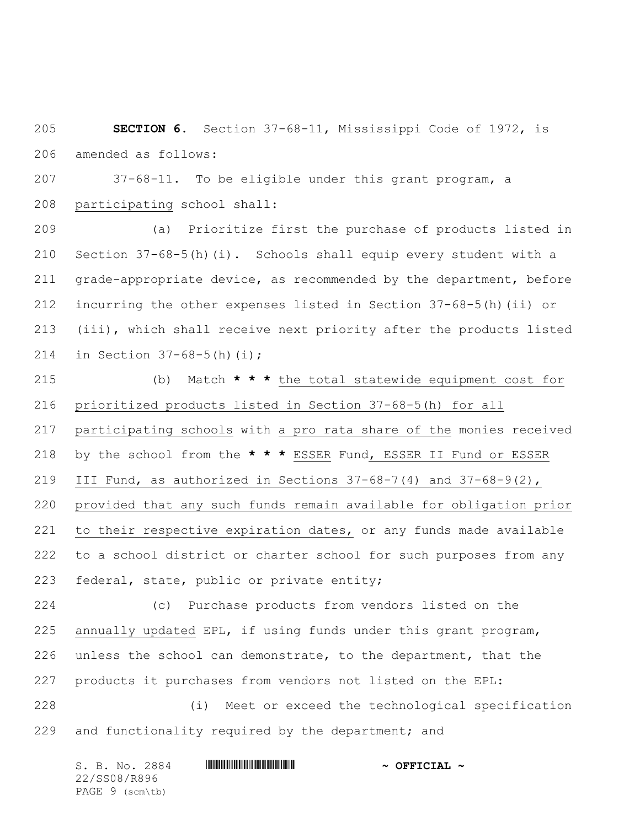**SECTION 6.** Section 37-68-11, Mississippi Code of 1972, is amended as follows:

 37-68-11. To be eligible under this grant program, a participating school shall:

 (a) Prioritize first the purchase of products listed in Section 37-68-5(h)(i). Schools shall equip every student with a grade-appropriate device, as recommended by the department, before incurring the other expenses listed in Section 37-68-5(h)(ii) or (iii), which shall receive next priority after the products listed in Section 37-68-5(h)(i);

 (b) Match **\* \* \*** the total statewide equipment cost for prioritized products listed in Section 37-68-5(h) for all participating schools with a pro rata share of the monies received by the school from the **\* \* \*** ESSER Fund, ESSER II Fund or ESSER 219 III Fund, as authorized in Sections  $37-68-7(4)$  and  $37-68-9(2)$ , provided that any such funds remain available for obligation prior to their respective expiration dates, or any funds made available to a school district or charter school for such purposes from any federal, state, public or private entity;

 (c) Purchase products from vendors listed on the annually updated EPL, if using funds under this grant program, unless the school can demonstrate, to the department, that the products it purchases from vendors not listed on the EPL:

 (i) Meet or exceed the technological specification and functionality required by the department; and

S. B. No. 2884 \*SS08/R896\* **~ OFFICIAL ~** 22/SS08/R896 PAGE 9 (scm\tb)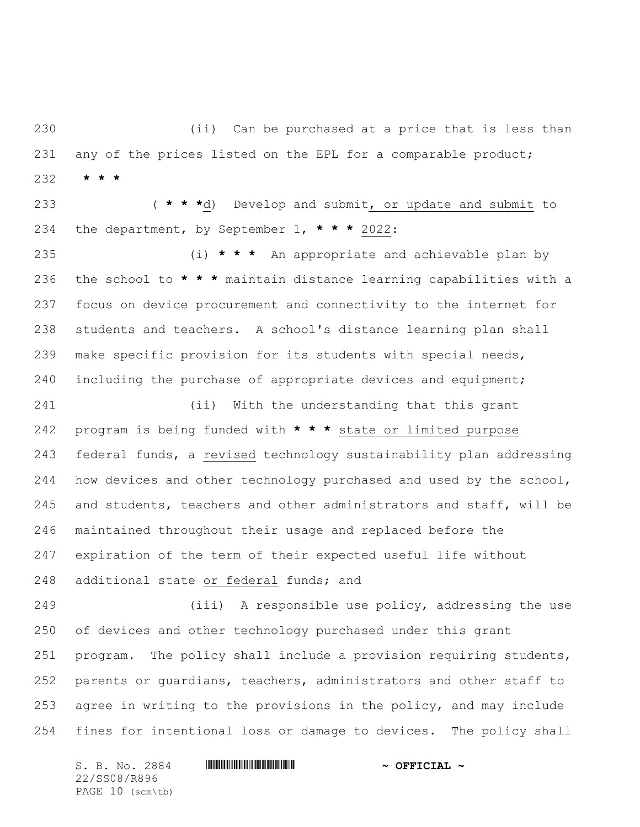(ii) Can be purchased at a price that is less than any of the prices listed on the EPL for a comparable product; **\* \* \***

 ( **\* \* \***d) Develop and submit, or update and submit to the department, by September 1, **\* \* \*** 2022:

 (i) **\* \* \*** An appropriate and achievable plan by the school to **\* \* \*** maintain distance learning capabilities with a focus on device procurement and connectivity to the internet for students and teachers. A school's distance learning plan shall make specific provision for its students with special needs, including the purchase of appropriate devices and equipment;

 (ii) With the understanding that this grant program is being funded with **\* \* \*** state or limited purpose federal funds, a revised technology sustainability plan addressing 244 how devices and other technology purchased and used by the school, and students, teachers and other administrators and staff, will be maintained throughout their usage and replaced before the expiration of the term of their expected useful life without additional state or federal funds; and

 (iii) A responsible use policy, addressing the use of devices and other technology purchased under this grant program. The policy shall include a provision requiring students, parents or guardians, teachers, administrators and other staff to agree in writing to the provisions in the policy, and may include fines for intentional loss or damage to devices. The policy shall

S. B. No. 2884 \*SS08/R896\* **~ OFFICIAL ~** 22/SS08/R896 PAGE 10 (scm\tb)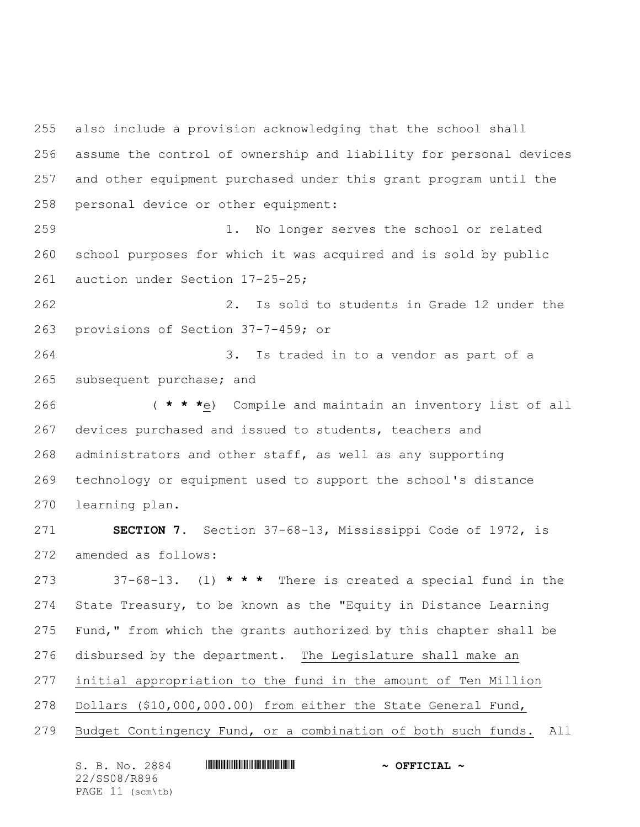also include a provision acknowledging that the school shall assume the control of ownership and liability for personal devices and other equipment purchased under this grant program until the personal device or other equipment:

 1. No longer serves the school or related school purposes for which it was acquired and is sold by public auction under Section 17-25-25;

 2. Is sold to students in Grade 12 under the provisions of Section 37-7-459; or

 3. Is traded in to a vendor as part of a subsequent purchase; and

 ( **\* \* \***e) Compile and maintain an inventory list of all devices purchased and issued to students, teachers and administrators and other staff, as well as any supporting technology or equipment used to support the school's distance learning plan.

 **SECTION 7.** Section 37-68-13, Mississippi Code of 1972, is amended as follows:

 37-68-13. (1) **\* \* \*** There is created a special fund in the State Treasury, to be known as the "Equity in Distance Learning Fund," from which the grants authorized by this chapter shall be disbursed by the department. The Legislature shall make an initial appropriation to the fund in the amount of Ten Million Dollars (\$10,000,000.00) from either the State General Fund, Budget Contingency Fund, or a combination of both such funds. All

| S. B. No. 2884   | $\sim$ OFFICIAL $\sim$ |
|------------------|------------------------|
| 22/SS08/R896     |                        |
| PAGE 11 (scm\tb) |                        |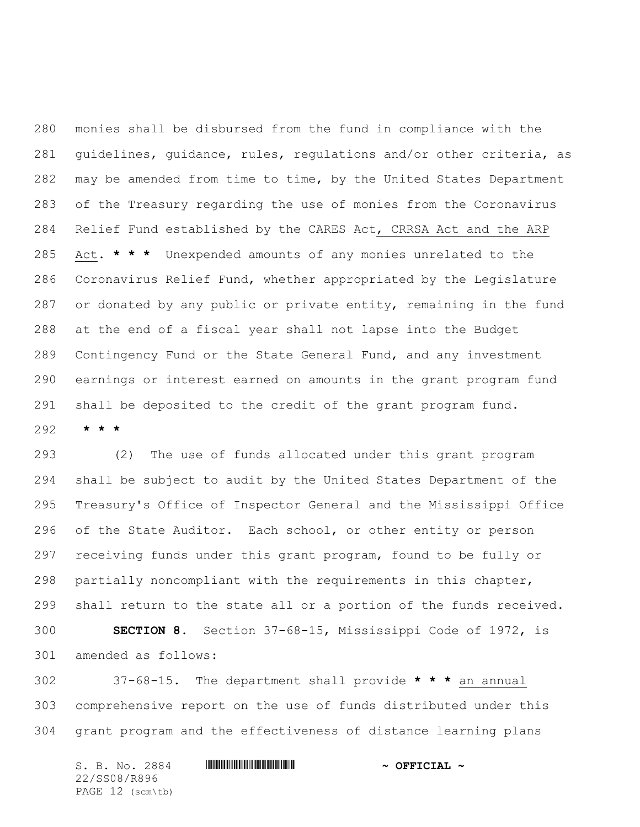monies shall be disbursed from the fund in compliance with the guidelines, guidance, rules, regulations and/or other criteria, as may be amended from time to time, by the United States Department of the Treasury regarding the use of monies from the Coronavirus Relief Fund established by the CARES Act, CRRSA Act and the ARP Act. **\* \* \*** Unexpended amounts of any monies unrelated to the Coronavirus Relief Fund, whether appropriated by the Legislature or donated by any public or private entity, remaining in the fund at the end of a fiscal year shall not lapse into the Budget Contingency Fund or the State General Fund, and any investment earnings or interest earned on amounts in the grant program fund shall be deposited to the credit of the grant program fund.

**\* \* \***

 (2) The use of funds allocated under this grant program shall be subject to audit by the United States Department of the Treasury's Office of Inspector General and the Mississippi Office of the State Auditor. Each school, or other entity or person receiving funds under this grant program, found to be fully or partially noncompliant with the requirements in this chapter, shall return to the state all or a portion of the funds received. **SECTION 8.** Section 37-68-15, Mississippi Code of 1972, is amended as follows:

 37-68-15. The department shall provide **\* \* \*** an annual comprehensive report on the use of funds distributed under this grant program and the effectiveness of distance learning plans

 $S.$  B. No. 2884 **\*\*\* |SSUE ASSOCIAL #**  $\sim$  **OFFICIAL ~** 22/SS08/R896 PAGE 12 (scm\tb)